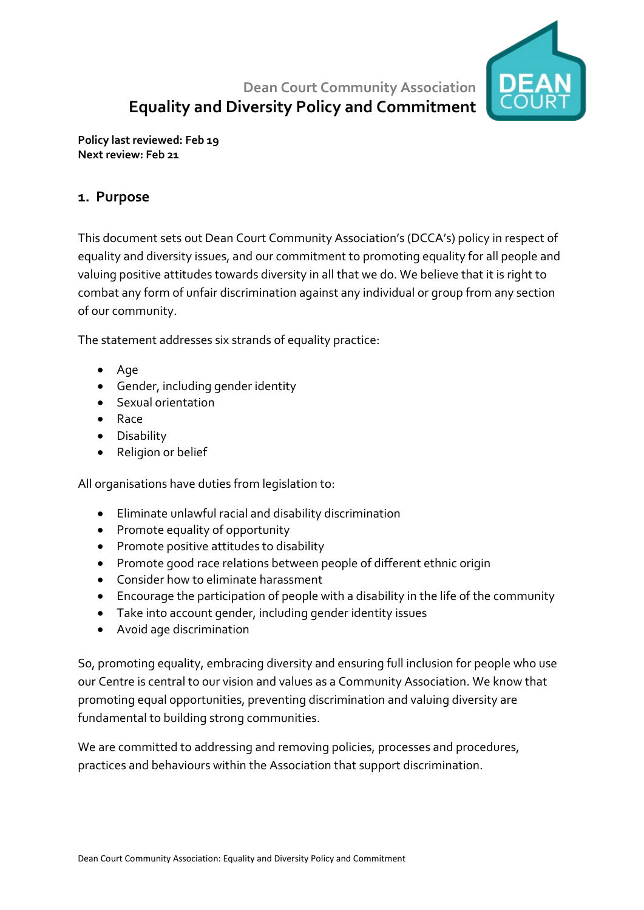

# **Dean Court Community Association Equality and Diversity Policy and Commitment**

**Policy last reviewed: Feb 19 Next review: Feb 21**

#### **1. Purpose**

This document sets out Dean Court Community Association's (DCCA's) policy in respect of equality and diversity issues, and our commitment to promoting equality for all people and valuing positive attitudes towards diversity in all that we do. We believe that it is right to combat any form of unfair discrimination against any individual or group from any section of our community.

The statement addresses six strands of equality practice:

- Age
- Gender, including gender identity
- Sexual orientation
- Race
- Disability
- Religion or belief

All organisations have duties from legislation to:

- Eliminate unlawful racial and disability discrimination
- Promote equality of opportunity
- Promote positive attitudes to disability
- Promote good race relations between people of different ethnic origin
- Consider how to eliminate harassment
- Encourage the participation of people with a disability in the life of the community
- Take into account gender, including gender identity issues
- Avoid age discrimination

So, promoting equality, embracing diversity and ensuring full inclusion for people who use our Centre is central to our vision and values as a Community Association. We know that promoting equal opportunities, preventing discrimination and valuing diversity are fundamental to building strong communities.

We are committed to addressing and removing policies, processes and procedures, practices and behaviours within the Association that support discrimination.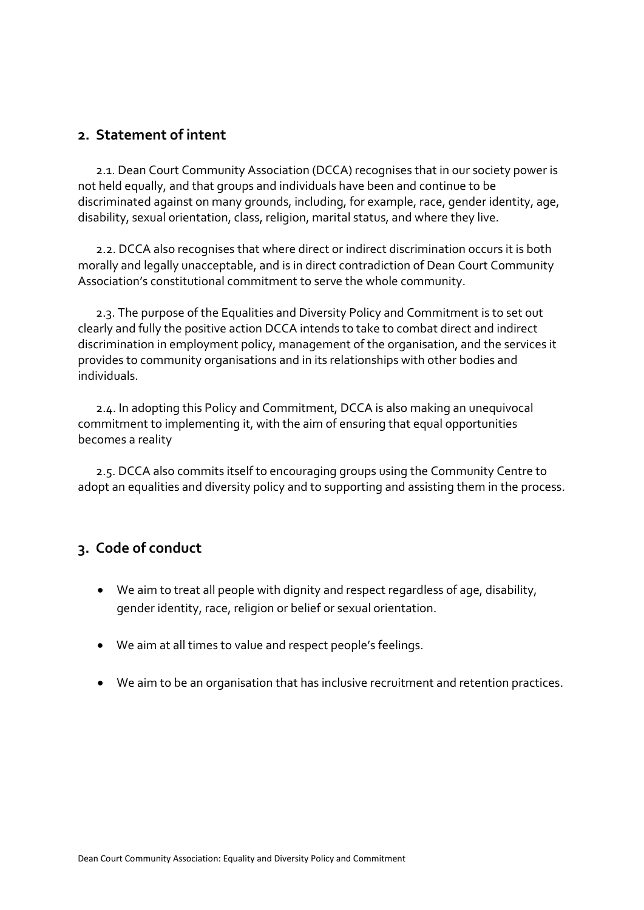#### **2. Statement of intent**

 2.1. Dean Court Community Association (DCCA) recognises that in our society power is not held equally, and that groups and individuals have been and continue to be discriminated against on many grounds, including, for example, race, gender identity, age, disability, sexual orientation, class, religion, marital status, and where they live.

 2.2. DCCA also recognises that where direct or indirect discrimination occurs it is both morally and legally unacceptable, and is in direct contradiction of Dean Court Community Association's constitutional commitment to serve the whole community.

 2.3. The purpose of the Equalities and Diversity Policy and Commitment is to set out clearly and fully the positive action DCCA intends to take to combat direct and indirect discrimination in employment policy, management of the organisation, and the services it provides to community organisations and in its relationships with other bodies and individuals.

 2.4. In adopting this Policy and Commitment, DCCA is also making an unequivocal commitment to implementing it, with the aim of ensuring that equal opportunities becomes a reality

 2.5. DCCA also commits itself to encouraging groups using the Community Centre to adopt an equalities and diversity policy and to supporting and assisting them in the process.

### **3. Code of conduct**

- We aim to treat all people with dignity and respect regardless of age, disability, gender identity, race, religion or belief or sexual orientation.
- We aim at all times to value and respect people's feelings.
- We aim to be an organisation that has inclusive recruitment and retention practices.